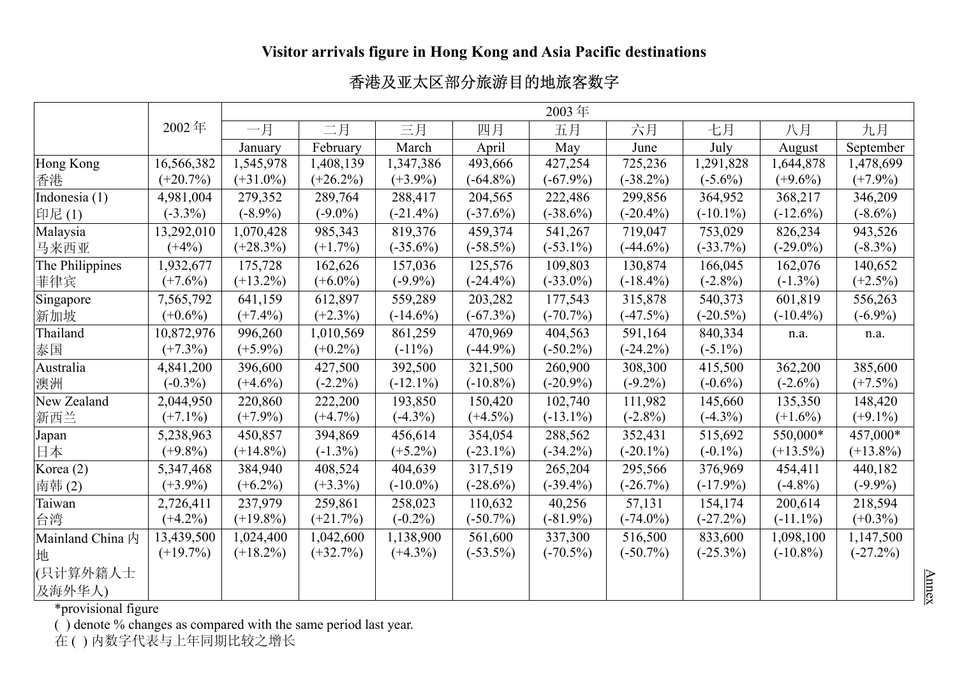## **Visitor arrivals figure in Hong Kong and Asia Pacific destinations**

## 香港及亚太区部分旅游目的地旅客数字

|                  |             | 2003年       |             |             |             |             |             |             |             |             |
|------------------|-------------|-------------|-------------|-------------|-------------|-------------|-------------|-------------|-------------|-------------|
|                  | 2002年       | 一月          | 二月          | 三月          | 四月          | 五月          | 六月          | 七月          | 八月          | 九月          |
|                  |             | January     | February    | March       | April       | May         | June        | July        | August      | September   |
| Hong Kong        | 16,566,382  | 1,545,978   | 1,408,139   | 1,347,386   | 493,666     | 427,254     | 725,236     | 1,291,828   | 1,644,878   | 1,478,699   |
| 香港               | $(+20.7%)$  | $(+31.0\%)$ | $(+26.2\%)$ | $(+3.9\%)$  | $(-64.8\%)$ | $(-67.9\%)$ | $(-38.2\%)$ | $(-5.6\%)$  | $(+9.6\%)$  | $(+7.9\%)$  |
| Indonesia (1)    | 4,981,004   | 279,352     | 289,764     | 288,417     | 204,565     | 222,486     | 299,856     | 364,952     | 368,217     | 346,209     |
| 印尼(1)            | $(-3.3\%)$  | $(-8.9\%)$  | $(-9.0\%)$  | $(-21.4\%)$ | $(-37.6\%)$ | $(-38.6\%)$ | $(-20.4\%)$ | $(-10.1\%)$ | $(-12.6\%)$ | $(-8.6\%)$  |
| Malaysia         | 13,292,010  | 1,070,428   | 985,343     | 819,376     | 459,374     | 541,267     | 719,047     | 753,029     | 826,234     | 943,526     |
| 马来西亚             | $(+4%)$     | $(+28.3\%)$ | $(+1.7\%)$  | $(-35.6\%)$ | $(-58.5\%)$ | $(-53.1\%)$ | $(-44.6\%)$ | $(-33.7\%)$ | $(-29.0\%)$ | $(-8.3\%)$  |
| The Philippines  | 1,932,677   | 175,728     | 162,626     | 157,036     | 125,576     | 109,803     | 130,874     | 166,045     | 162,076     | 140,652     |
| 菲律宾              | $(+7.6%)$   | $(+13.2\%)$ | $(+6.0\%)$  | $(-9.9\%)$  | $(-24.4\%)$ | $(-33.0\%)$ | $(-18.4\%)$ | $(-2.8\%)$  | $(-1.3\%)$  | $(+2.5%)$   |
| Singapore        | 7,565,792   | 641,159     | 612,897     | 559,289     | 203,282     | 177,543     | 315,878     | 540,373     | 601,819     | 556,263     |
| 新加坡              | $(+0.6\%)$  | $(+7.4\%)$  | $(+2.3\%)$  | $(-14.6\%)$ | $(-67.3%)$  | $(-70.7\%)$ | $(-47.5%)$  | $(-20.5\%)$ | $(-10.4\%)$ | $(-6.9\%)$  |
| Thailand         | 10,872,976  | 996,260     | 1,010,569   | 861,259     | 470,969     | 404,563     | 591,164     | 840,334     | n.a.        | n.a.        |
| 泰国               | $(+7.3%)$   | $(+5.9\%)$  | $(+0.2\%)$  | $(-11\%)$   | $(-44.9\%)$ | $(-50.2\%)$ | $(-24.2\%)$ | $(-5.1\%)$  |             |             |
| Australia        | 4,841,200   | 396,600     | 427,500     | 392,500     | 321,500     | 260,900     | 308,300     | 415,500     | 362,200     | 385,600     |
| 澳洲               | $(-0.3\%)$  | $(+4.6\%)$  | $(-2.2\%)$  | $(-12.1\%)$ | $(-10.8\%)$ | $(-20.9\%)$ | $(-9.2\%)$  | $(-0.6\%)$  | $(-2.6%)$   | $(+7.5%)$   |
| New Zealand      | 2,044,950   | 220,860     | 222,200     | 193,850     | 150,420     | 102,740     | 111,982     | 145,660     | 135,350     | 148,420     |
| 新西兰              | $(+7.1\%)$  | $(+7.9\%)$  | $(+4.7%)$   | $(-4.3\%)$  | $(+4.5\%)$  | $(-13.1\%)$ | $(-2.8\%)$  | $(-4.3%)$   | $(+1.6\%)$  | $(+9.1\%)$  |
| Japan            | 5,238,963   | 450,857     | 394,869     | 456,614     | 354,054     | 288,562     | 352,431     | 515,692     | 550,000*    | 457,000*    |
| 日本               | $(+9.8\%)$  | $(+14.8\%)$ | $(-1.3\%)$  | $(+5.2\%)$  | $(-23.1\%)$ | $(-34.2\%)$ | $(-20.1\%)$ | $(-0.1\%)$  | $(+13.5\%)$ | $(+13.8\%)$ |
| Korea (2)        | 5,347,468   | 384,940     | 408,524     | 404,639     | 317,519     | 265,204     | 295,566     | 376,969     | 454,411     | 440,182     |
| 南韩(2)            | $(+3.9\%)$  | $(+6.2\%)$  | $(+3.3\%)$  | $(-10.0\%)$ | $(-28.6%)$  | $(-39.4\%)$ | $(-26.7%)$  | $(-17.9\%)$ | $(-4.8\%)$  | $(-9.9\%)$  |
| Taiwan           | 2,726,411   | 237,979     | 259,861     | 258,023     | 110,632     | 40,256      | 57,131      | 154,174     | 200,614     | 218,594     |
| 台湾               | $(+4.2\%)$  | $(+19.8\%)$ | $(+21.7%)$  | $(-0.2\%)$  | $(-50.7\%)$ | $(-81.9\%)$ | $(-74.0\%)$ | $(-27.2%)$  | $(-11.1\%)$ | $(+0.3\%)$  |
| Mainland China 内 | 13,439,500  | 1,024,400   | 1,042,600   | 1,138,900   | 561,600     | 337,300     | 516,500     | 833,600     | 1,098,100   | 1,147,500   |
| 地                | $(+19.7\%)$ | $(+18.2\%)$ | $(+32.7%)$  | $(+4.3\%)$  | $(-53.5\%)$ | $(-70.5\%)$ | $(-50.7\%)$ | $(-25.3\%)$ | $(-10.8\%)$ | $(-27.2\%)$ |
| (只计算外籍人士         |             |             |             |             |             |             |             |             |             |             |
| 及海外华人)           |             |             |             |             |             |             |             |             |             |             |

\*provisional figure

( ) denote % changes as compared with the same period last year.

在 ( ) 内数字代表与上年同期比较之增长